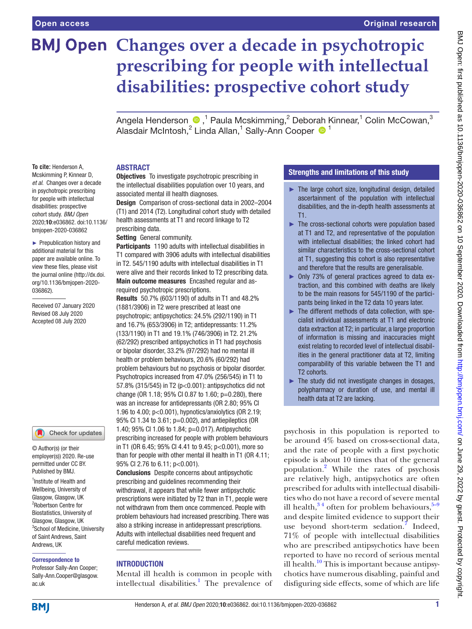# **BMJ Open Changes over a decade in psychotropic prescribing for people with intellectual disabilities: prospective cohort study**

Angela Henderson  $\bigcirc$  ,<sup>1</sup> Paula Mcskimming,<sup>2</sup> Deborah Kinnear,<sup>1</sup> Colin McCowan,<sup>3</sup> Alasdair McIntosh,<sup>2</sup> Linda Allan,<sup>1</sup> Sally-Ann Cooper <sup>1</sup>

#### **To cite:** Henderson A, Mcskimming P, Kinnear D, *et al*. Changes over a decade in psychotropic prescribing for people with intellectual disabilities: prospective cohort study. *BMJ Open* 2020;10:e036862. doi:10.1136/ bmjopen-2020-036862

► Prepublication history and additional material for this paper are available online. To view these files, please visit the journal online (http://dx.doi. org/10.1136/bmjopen-2020- 036862).

Received 07 January 2020 Revised 08 July 2020 Accepted 08 July 2020

# Check for updates

© Author(s) (or their employer(s)) 2020. Re-use permitted under CC BY. Published by BMJ.

<sup>1</sup> Institute of Health and Wellbeing, University of Glasgow, Glasgow, UK 2 Robertson Centre for Biostatistics, University of Glasgow, Glasgow, UK <sup>3</sup>School of Medicine, University of Saint Andrews, Saint Andrews, UK

#### Correspondence to

Professor Sally-Ann Cooper; Sally-Ann.Cooper@glasgow. ac.uk

## ABSTRACT

**Objectives** To investigate psychotropic prescribing in the intellectual disabilities population over 10 years, and associated mental ill health diagnoses.

Design Comparison of cross-sectional data in 2002–2004 (T1) and 2014 (T2). Longitudinal cohort study with detailed health assessments at T1 and record linkage to T2 prescribing data.

Setting General community.

Participants 1190 adults with intellectual disabilities in T1 compared with 3906 adults with intellectual disabilities in T2. 545/1190 adults with intellectual disabilities in T1 were alive and their records linked to T2 prescribing data. Main outcome measures Encashed regular and asrequired psychotropic prescriptions.

Results 50.7% (603/1190) of adults in T1 and 48.2% (1881/3906) in T2 were prescribed at least one psychotropic; antipsychotics: 24.5% (292/1190) in T1 and 16.7% (653/3906) in T2; antidepressants: 11.2% (133/1190) in T1 and 19.1% (746/3906) in T2. 21.2% (62/292) prescribed antipsychotics in T1 had psychosis or bipolar disorder, 33.2% (97/292) had no mental ill health or problem behaviours, 20.6% (60/292) had problem behaviours but no psychosis or bipolar disorder. Psychotropics increased from 47.0% (256/545) in T1 to 57.8% (315/545) in T2 (p<0.001): antipsychotics did not change (OR 1.18; 95% CI 0.87 to 1.60; p=0.280), there was an increase for antidepressants (OR 2.80; 95% CI 1.96 to 4.00; p<0.001), hypnotics/anxiolytics (OR 2.19; 95% CI 1.34 to 3.61; p=0.002), and antiepileptics (OR 1.40; 95% CI 1.06 to 1.84; p=0.017). Antipsychotic prescribing increased for people with problem behaviours in T1 (OR 6.45; 95% CI 4.41 to 9.45; p<0.001), more so than for people with other mental ill health in T1 (OR 4.11; 95% CI 2.76 to 6.11; p<0.001).

Conclusions Despite concerns about antipsychotic prescribing and guidelines recommending their withdrawal, it appears that while fewer antipsychotic prescriptions were initiated by T2 than in T1, people were not withdrawn from them once commenced. People with problem behaviours had increased prescribing. There was also a striking increase in antidepressant prescriptions. Adults with intellectual disabilities need frequent and careful medication reviews.

## INTRODUCTION

Mental ill health is common in people with intellectual disabilities.<sup>[1](#page-8-0)</sup> The prevalence of

# Strengths and limitations of this study

- ► The large cohort size, longitudinal design, detailed ascertainment of the population with intellectual disabilities, and the in-depth health assessments at T1.
- ► The cross-sectional cohorts were population based at T1 and T2, and representative of the population with intellectual disabilities; the linked cohort had similar characteristics to the cross-sectional cohort at T1, suggesting this cohort is also representative and therefore that the results are generalisable.
- ► Only 73% of general practices agreed to data extraction, and this combined with deaths are likely to be the main reasons for 545/1190 of the participants being linked in the T2 data 10 years later.
- ► The different methods of data collection, with specialist individual assessments at T1 and electronic data extraction at T2; in particular, a large proportion of information is missing and inaccuracies might exist relating to recorded level of intellectual disabilities in the general practitioner data at T2, limiting comparability of this variable between the T1 and T2 cohorts.
- $\blacktriangleright$  The study did not investigate changes in dosages, polypharmacy or duration of use, and mental ill health data at T2 are lacking.

psychosis in this population is reported to be around 4% based on cross-sectional data, and the rate of people with a first psychotic episode is about 10 times that of the general population.[2](#page-8-1) While the rates of psychosis are relatively high, antipsychotics are often prescribed for adults with intellectual disabilities who do not have a record of severe mental ill health,  $3^4$  often for problem behaviours,  $5-9$ and despite limited evidence to support their use beyond short-term sedation.<sup>[7](#page-8-4)</sup> Indeed, 71% of people with intellectual disabilities who are prescribed antipsychotics have been reported to have no record of serious mental ill health.<sup>[10](#page-8-5)</sup> This is important because antipsychotics have numerous disabling, painful and disfiguring side effects, some of which are life

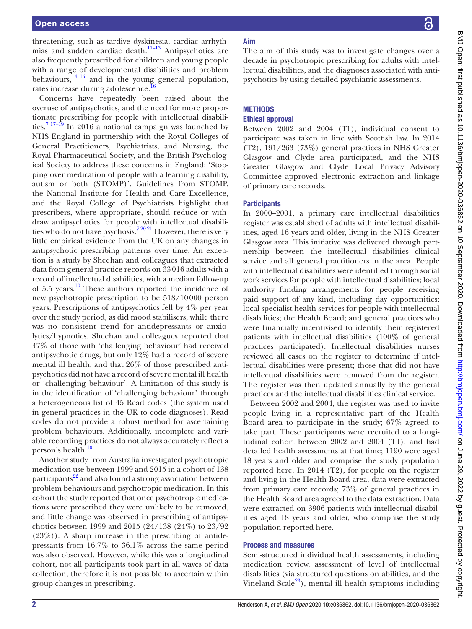threatening, such as tardive dyskinesia, cardiac arrhythmias and sudden cardiac death.[11–13](#page-8-6) Antipsychotics are also frequently prescribed for children and young people with a range of developmental disabilities and problem behaviours, $^{14}$  <sup>15</sup> and in the young general population, rates increase during adolescence.

Concerns have repeatedly been raised about the overuse of antipsychotics, and the need for more proportionate prescribing for people with intellectual disabilities.[7 17–19](#page-8-4) In 2016 a national campaign was launched by NHS England in partnership with the Royal Colleges of General Practitioners, Psychiatrists, and Nursing, the Royal Pharmaceutical Society, and the British Psychological Society to address these concerns in England: 'Stopping over medication of people with a learning disability, autism or both (STOMP)'. Guidelines from STOMP, the National Institute for Health and Care Excellence, and the Royal College of Psychiatrists highlight that prescribers, where appropriate, should reduce or withdraw antipsychotics for people with intellectual disabilities who do not have psychosis.<sup>72021</sup> However, there is very little empirical evidence from the UK on any changes in antipsychotic prescribing patterns over time. An exception is a study by Sheehan and colleagues that extracted data from general practice records on 33016 adults with a record of intellectual disabilities, with a median follow-up of 5.5 years. $10$  These authors reported the incidence of new psychotropic prescription to be 518/10000 person years. Prescriptions of antipsychotics fell by 4% per year over the study period, as did mood stabilisers, while there was no consistent trend for antidepressants or anxiolytics/hypnotics. Sheehan and colleagues reported that 47% of those with 'challenging behaviour' had received antipsychotic drugs, but only 12% had a record of severe mental ill health, and that 26% of those prescribed antipsychotics did not have a record of severe mental ill health or 'challenging behaviour'. A limitation of this study is in the identification of 'challenging behaviour' through a heterogeneous list of 45 Read codes (the system used in general practices in the UK to code diagnoses). Read codes do not provide a robust method for ascertaining problem behaviours. Additionally, incomplete and variable recording practices do not always accurately reflect a person's health.<sup>[10](#page-8-5)</sup>

Another study from Australia investigated psychotropic medication use between 1999 and 2015 in a cohort of 138 participants $^{22}$  and also found a strong association between problem behaviours and psychotropic medication. In this cohort the study reported that once psychotropic medications were prescribed they were unlikely to be removed, and little change was observed in prescribing of antipsychotics between 1999 and 2015 (24/138 (24%) to 23/92  $(23\%)$ ). A sharp increase in the prescribing of antidepressants from 16.7% to 36.1% across the same period was also observed. However, while this was a longitudinal cohort, not all participants took part in all waves of data collection, therefore it is not possible to ascertain within group changes in prescribing.

# Aim

The aim of this study was to investigate changes over a decade in psychotropic prescribing for adults with intellectual disabilities, and the diagnoses associated with antipsychotics by using detailed psychiatric assessments.

# **METHODS**

## Ethical approval

Between 2002 and 2004 (T1), individual consent to participate was taken in line with Scottish law. In 2014 (T2), 191/263 (73%) general practices in NHS Greater Glasgow and Clyde area participated, and the NHS Greater Glasgow and Clyde Local Privacy Advisory Committee approved electronic extraction and linkage of primary care records.

## **Participants**

In 2000–2001, a primary care intellectual disabilities register was established of adults with intellectual disabilities, aged 16 years and older, living in the NHS Greater Glasgow area. This initiative was delivered through partnership between the intellectual disabilities clinical service and all general practitioners in the area. People with intellectual disabilities were identified through social work services for people with intellectual disabilities; local authority funding arrangements for people receiving paid support of any kind, including day opportunities; local specialist health services for people with intellectual disabilities; the Health Board; and general practices who were financially incentivised to identify their registered patients with intellectual disabilities (100% of general practices participated). Intellectual disabilities nurses reviewed all cases on the register to determine if intellectual disabilities were present; those that did not have intellectual disabilities were removed from the register. The register was then updated annually by the general practices and the intellectual disabilities clinical service.

Between 2002 and 2004, the register was used to invite people living in a representative part of the Health Board area to participate in the study; 67% agreed to take part. These participants were recruited to a longitudinal cohort between 2002 and 2004 (T1), and had detailed health assessments at that time; 1190 were aged 18 years and older and comprise the study population reported here. In 2014 (T2), for people on the register and living in the Health Board area, data were extracted from primary care records; 73% of general practices in the Health Board area agreed to the data extraction. Data were extracted on 3906 patients with intellectual disabilities aged 18 years and older, who comprise the study population reported here.

#### Process and measures

Semi-structured individual health assessments, including medication review, assessment of level of intellectual disabilities (via structured questions on abilities, and the Vineland Scale<sup>23</sup>), mental ill health symptoms including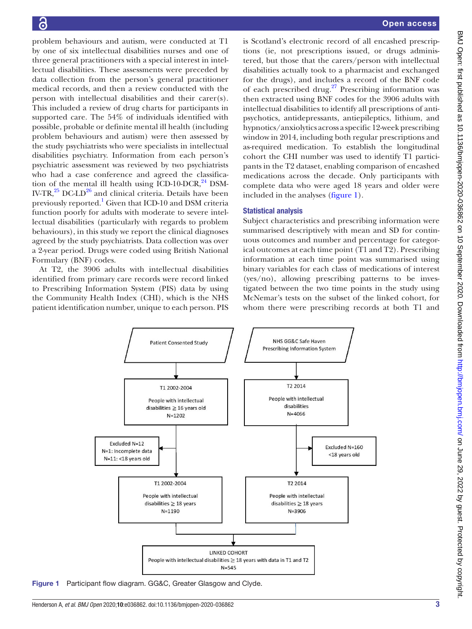problem behaviours and autism, were conducted at T1 by one of six intellectual disabilities nurses and one of three general practitioners with a special interest in intellectual disabilities. These assessments were preceded by data collection from the person's general practitioner medical records, and then a review conducted with the person with intellectual disabilities and their carer(s). This included a review of drug charts for participants in supported care. The 54% of individuals identified with possible, probable or definite mental ill health (including problem behaviours and autism) were then assessed by the study psychiatrists who were specialists in intellectual disabilities psychiatry. Information from each person's psychiatric assessment was reviewed by two psychiatrists who had a case conference and agreed the classification of the mental ill health using  $ICD-10-DCR$ ,  $^{24}$  DSM-IV-TR, $^{25}$  DC-LD $^{26}$  and clinical criteria. Details have been previously reported.<sup>[1](#page-8-0)</sup> Given that ICD-10 and DSM criteria function poorly for adults with moderate to severe intellectual disabilities (particularly with regards to problem behaviours), in this study we report the clinical diagnoses agreed by the study psychiatrists. Data collection was over a 2-year period. Drugs were coded using British National Formulary (BNF) codes.

At T2, the 3906 adults with intellectual disabilities identified from primary care records were record linked to Prescribing Information System (PIS) data by using the Community Health Index (CHI), which is the NHS patient identification number, unique to each person. PIS is Scotland's electronic record of all encashed prescriptions (ie, not prescriptions issued, or drugs administered, but those that the carers/person with intellectual disabilities actually took to a pharmacist and exchanged for the drugs), and includes a record of the BNF code of each prescribed drug.<sup>[27](#page-8-14)</sup> Prescribing information was then extracted using BNF codes for the 3906 adults with intellectual disabilities to identify all prescriptions of antipsychotics, antidepressants, antiepileptics, lithium, and hypnotics/anxiolytics across a specific 12-week prescribing window in 2014, including both regular prescriptions and as-required medication. To establish the longitudinal cohort the CHI number was used to identify T1 participants in the T2 dataset, enabling comparison of encashed medications across the decade. Only participants with complete data who were aged 18 years and older were included in the analyses [\(figure](#page-2-0) 1).

## Statistical analysis

Subject characteristics and prescribing information were summarised descriptively with mean and SD for continuous outcomes and number and percentage for categorical outcomes at each time point (T1 and T2). Prescribing information at each time point was summarised using binary variables for each class of medications of interest (yes/no), allowing prescribing patterns to be investigated between the two time points in the study using McNemar's tests on the subset of the linked cohort, for whom there were prescribing records at both T1 and



<span id="page-2-0"></span>Figure 1 Participant flow diagram. GG&C, Greater Glasgow and Clyde.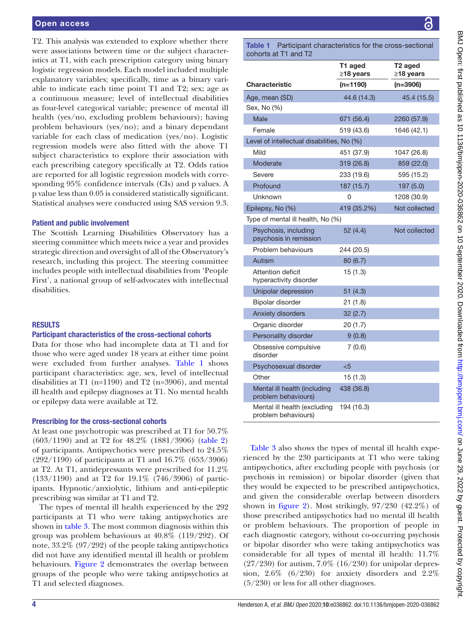## Open access

T2. This analysis was extended to explore whether there were associations between time or the subject characteristics at T1, with each prescription category using binary logistic regression models. Each model included multiple explanatory variables; specifically, time as a binary variable to indicate each time point T1 and T2; sex; age as a continuous measure; level of intellectual disabilities as four-level categorical variable; presence of mental ill health (yes/no, excluding problem behaviours); having problem behaviours (yes/no); and a binary dependant variable for each class of medication (yes/no). Logistic regression models were also fitted with the above T1 subject characteristics to explore their association with each prescribing category specifically at T2. Odds ratios are reported for all logistic regression models with corresponding 95% confidence intervals (CIs) and p values. A p value less than 0.05 is considered statistically significant. Statistical analyses were conducted using SAS version 9.3.

## Patient and public involvement

The Scottish Learning Disabilities Observatory has a steering committee which meets twice a year and provides strategic direction and oversight of all of the Observatory's research, including this project. The steering committee includes people with intellectual disabilities from 'People First', a national group of self-advocates with intellectual disabilities.

## RESULTS

## Participant characteristics of the cross-sectional cohorts

Data for those who had incomplete data at T1 and for those who were aged under 18 years at either time point were excluded from further analyses. [Table](#page-3-0) 1 shows participant characteristics: age, sex, level of intellectual disabilities at T1 (n=1190) and T2 (n=3906), and mental ill health and epilepsy diagnoses at T1. No mental health or epilepsy data were available at T2.

## Prescribing for the cross-sectional cohorts

At least one psychotropic was prescribed at T1 for 50.7% (603/1190) and at T2 for 48.2% (1881/3906) ([table](#page-4-0) 2) of participants. Antipsychotics were prescribed to 24.5% (292/1190) of participants at T1 and 16.7% (653/3906) at T2. At T1, antidepressants were prescribed for 11.2% (133/1190) and at T2 for 19.1% (746/3906) of participants. Hypnotic/anxiolytic, lithium and anti-epileptic prescribing was similar at T1 and T2.

The types of mental ill health experienced by the 292 participants at T1 who were taking antipsychotics are shown in [table](#page-4-1) 3. The most common diagnosis within this group was problem behaviours at 40.8% (119/292). Of note, 33.2% (97/292) of the people taking antipsychotics did not have any identified mental ill health or problem behaviours. [Figure](#page-4-2) 2 demonstrates the overlap between groups of the people who were taking antipsychotics at T1 and selected diagnoses.

<span id="page-3-0"></span>Table 1 Participant characteristics for the cross-sectional cohorts at T1 and T2

|                                                     | T1 aged<br>≥18 years | T2 aged<br>≥18 years |
|-----------------------------------------------------|----------------------|----------------------|
| <b>Characteristic</b>                               | (n=1190)             | (n=3906)             |
| Age, mean (SD)                                      | 44.6 (14.3)          | 45.4 (15.5)          |
| Sex, No (%)                                         |                      |                      |
| Male                                                | 671 (56.4)           | 2260 (57.9)          |
| Female                                              | 519 (43.6)           | 1646 (42.1)          |
| Level of intellectual disabilities, No (%)          |                      |                      |
| Mild                                                | 451 (37.9)           | 1047 (26.8)          |
| Moderate                                            | 319 (26.8)           | 859 (22.0)           |
| Severe                                              | 233 (19.6)           | 595 (15.2)           |
| Profound                                            | 187 (15.7)           | 197(5.0)             |
| Unknown                                             | 0                    | 1208 (30.9)          |
| Epilepsy, No (%)                                    | 419 (35.2%)          | Not collected        |
| Type of mental ill health, No (%)                   |                      |                      |
| Psychosis, including<br>psychosis in remission      | 52(4.4)              | Not collected        |
| Problem behaviours                                  | 244 (20.5)           |                      |
| Autism                                              | 80(6.7)              |                      |
| Attention deficit<br>hyperactivity disorder         | 15(1.3)              |                      |
| Unipolar depression                                 | 51(4.3)              |                      |
| Bipolar disorder                                    | 21(1.8)              |                      |
| Anxiety disorders                                   | 32(2.7)              |                      |
| Organic disorder                                    | 20(1.7)              |                      |
| Personality disorder                                | 9(0.8)               |                      |
| Obsessive compulsive<br>disorder                    | 7(0.6)               |                      |
| Psychosexual disorder                               | $5$                  |                      |
| Other                                               | 15(1.3)              |                      |
| Mental ill health (including<br>problem behaviours) | 438 (36.8)           |                      |
| Mental ill health (excluding<br>problem behaviours) | 194 (16.3)           |                      |

[Table](#page-4-1) 3 also shows the types of mental ill health experienced by the 230 participants at T1 who were taking antipsychotics, after excluding people with psychosis (or psychosis in remission) or bipolar disorder (given that they would be expected to be prescribed antipsychotics, and given the considerable overlap between disorders shown in [figure](#page-4-2) 2). Most strikingly,  $97/230$  (42.2%) of those prescribed antipsychotics had no mental ill health or problem behaviours. The proportion of people in each diagnostic category, without co-occurring psychosis or bipolar disorder who were taking antipsychotics was considerable for all types of mental ill health: 11.7%  $(27/230)$  for autism,  $7.0\%$   $(16/230)$  for unipolar depression, 2.6% (6/230) for anxiety disorders and 2.2% (5/230) or less for all other diagnoses.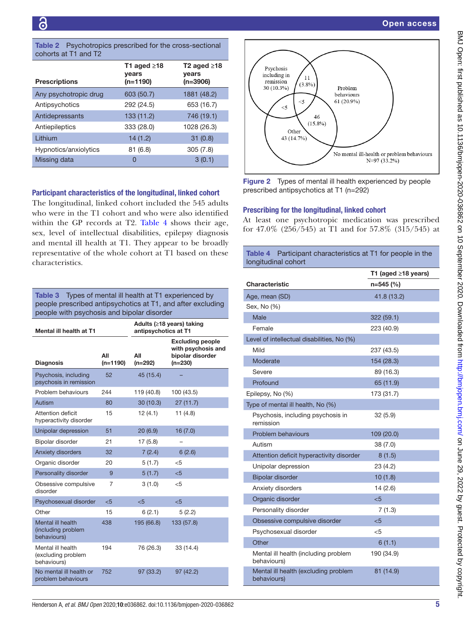<span id="page-4-0"></span>

| <b>Table 2</b> Psychotropics prescribed for the cross-sectional |  |
|-----------------------------------------------------------------|--|
| cohorts at T1 and T2 .                                          |  |

|                       | T1 aged $\geq$ 18<br>years | T <sub>2</sub> aged $\geq$ 18<br>years |
|-----------------------|----------------------------|----------------------------------------|
| <b>Prescriptions</b>  | $(n=1190)$                 | $(n=3906)$                             |
| Any psychotropic drug | 603 (50.7)                 | 1881 (48.2)                            |
| Antipsychotics        | 292 (24.5)                 | 653 (16.7)                             |
| Antidepressants       | 133 (11.2)                 | 746 (19.1)                             |
| Antiepileptics        | 333 (28.0)                 | 1028 (26.3)                            |
| Lithium               | 14(1.2)                    | 31(0.8)                                |
| Hypnotics/anxiolytics | 81 (6.8)                   | 305(7.8)                               |
| Missing data          | 0                          | 3(0.1)                                 |

## Participant characteristics of the longitudinal, linked cohort

The longitudinal, linked cohort included the 545 adults who were in the T1 cohort and who were also identified within the GP records at T2. [Table](#page-4-3) 4 shows their age, sex, level of intellectual disabilities, epilepsy diagnosis and mental ill health at T1. They appear to be broadly representative of the whole cohort at T1 based on these characteristics.

<span id="page-4-1"></span>Table 3 Types of mental ill health at T1 experienced by people prescribed antipsychotics at T1, and after excluding people with psychosis and bipolar disorder

| Mental ill health at T1                                |                   | Adults (≥18 years) taking<br>antipsychotics at T1 |                                                                                |
|--------------------------------------------------------|-------------------|---------------------------------------------------|--------------------------------------------------------------------------------|
| <b>Diagnosis</b>                                       | All<br>$(n=1190)$ | All<br>$(n=292)$                                  | <b>Excluding people</b><br>with psychosis and<br>bipolar disorder<br>$(n=230)$ |
| Psychosis, including<br>psychosis in remission         | 52                | 45 (15.4)                                         |                                                                                |
| Problem behaviours                                     | 244               | 119 (40.8)                                        | 100 (43.5)                                                                     |
| Autism                                                 | 80                | 30(10.3)                                          | 27(11.7)                                                                       |
| Attention deficit<br>hyperactivity disorder            | 15                | 12(4.1)                                           | 11(4.8)                                                                        |
| Unipolar depression                                    | 51                | 20(6.9)                                           | 16(7.0)                                                                        |
| Bipolar disorder                                       | 21                | 17(5.8)                                           |                                                                                |
| Anxiety disorders                                      | 32                | 7(2.4)                                            | 6(2.6)                                                                         |
| Organic disorder                                       | 20                | 5(1.7)                                            | $<$ 5                                                                          |
| Personality disorder                                   | 9                 | 5(1.7)                                            | $\epsilon$ 5                                                                   |
| Obsessive compulsive<br>disorder                       | 7                 | 3(1.0)                                            | $<$ 5                                                                          |
| Psychosexual disorder                                  | < 5               | < 5                                               | < 5                                                                            |
| Other                                                  | 15                | 6(2.1)                                            | 5(2.2)                                                                         |
| Mental ill health<br>(including problem<br>behaviours) | 438               | 195 (66.8)                                        | 133 (57.8)                                                                     |
| Mental ill health<br>(excluding problem<br>behaviours) | 194               | 76 (26.3)                                         | 33 (14.4)                                                                      |
| No mental ill health or<br>problem behaviours          | 752               | 97 (33.2)                                         | 97(42.2)                                                                       |



<span id="page-4-2"></span>Figure 2 Types of mental ill health experienced by people prescribed antipsychotics at T1 (n=292)

#### Prescribing for the longitudinal, linked cohort

At least one psychotropic medication was prescribed for 47.0% (256/545) at T1 and for 57.8% (315/545) at

<span id="page-4-3"></span>

| <b>Table 4</b><br>Participant characteristics at T1 for people in the<br>longitudinal cohort |                           |
|----------------------------------------------------------------------------------------------|---------------------------|
|                                                                                              | T1 (aged $\geq$ 18 years) |
| Characteristic                                                                               | n=545 (%)                 |
| Age, mean (SD)                                                                               | 41.8 (13.2)               |
| Sex, No (%)                                                                                  |                           |
| Male                                                                                         | 322 (59.1)                |
| Female                                                                                       | 223 (40.9)                |
| Level of intellectual disabilities, No (%)                                                   |                           |
| Mild                                                                                         | 237 (43.5)                |
| Moderate                                                                                     | 154 (28.3)                |
| Severe                                                                                       | 89 (16.3)                 |
| Profound                                                                                     | 65 (11.9)                 |
| Epilepsy, No (%)                                                                             | 173 (31.7)                |
| Type of mental ill health, No (%)                                                            |                           |
| Psychosis, including psychosis in<br>remission                                               | 32(5.9)                   |
| Problem behaviours                                                                           | 109 (20.0)                |
| Autism                                                                                       | 38(7.0)                   |
| Attention deficit hyperactivity disorder                                                     | 8(1.5)                    |
| Unipolar depression                                                                          | 23 (4.2)                  |
| <b>Bipolar disorder</b>                                                                      | 10(1.8)                   |
| Anxiety disorders                                                                            | 14(2.6)                   |
| Organic disorder                                                                             | $5$                       |
| Personality disorder                                                                         | 7(1.3)                    |
| Obsessive compulsive disorder                                                                | $<$ 5                     |
| Psychosexual disorder                                                                        | $<$ 5                     |
| Other                                                                                        | 6(1.1)                    |
| Mental ill health (including problem<br>behaviours)                                          | 190 (34.9)                |
| Mental ill health (excluding problem<br>behaviours)                                          | 81 (14.9)                 |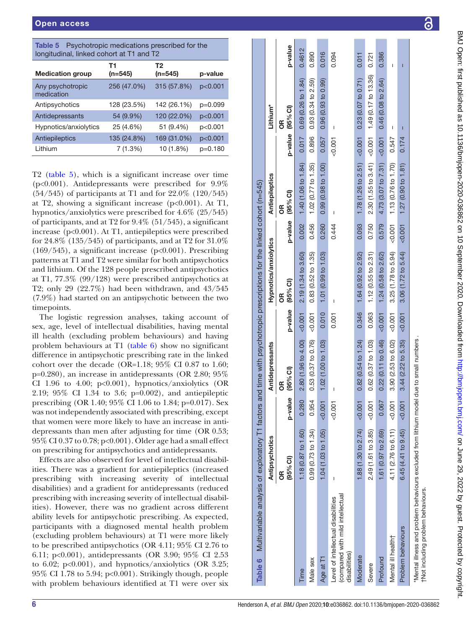<span id="page-5-0"></span>

| <b>Table 5</b> Psychotropic medications prescribed for the |
|------------------------------------------------------------|
| longitudinal, linked cohort at T1 and T2                   |

| $\sim$ ighteement, immode content at it is and the |                             |           |
|----------------------------------------------------|-----------------------------|-----------|
| T1<br>$(n=545)$                                    | T <sub>2</sub><br>$(n=545)$ | p-value   |
| 256 (47.0%)                                        | 315 (57.8%)                 | p<0.001   |
| 128 (23.5%)                                        | 142 (26.1%)                 | $p=0.099$ |
| 54 (9.9%)                                          | 120 (22.0%)                 | p<0.001   |
| 25 (4.6%)                                          | 51 (9.4%)                   | p<0.001   |
| 135 (24.8%)                                        | 169 (31.0%)                 | p<0.001   |
| 7(1.3%)                                            | 10 (1.8%)                   | $p=0.180$ |
|                                                    |                             |           |

T2 [\(table](#page-5-0) 5), which is a significant increase over time  $(p<0.001)$ . Antidepressants were prescribed for 9.9% (54/545) of participants at T1 and for 22.0% (120/545) at T2, showing a significant increase  $(p<0.001)$ . At T1, hypnotics/anxiolytics were prescribed for 4.6% (25/545) of participants, and at T2 for 9.4% (51/545), a significant increase (p<0.001). At T1, antiepileptics were prescribed for 24.8% (135/545) of participants, and at T2 for 31.0%  $(169/545)$ , a significant increase  $(p<0.001)$ . Prescribing patterns at T1 and T2 were similar for both antipsychotics and lithium. Of the 128 people prescribed antipsychotics at T1, 77.3% (99/128) were prescribed antipsychotics at T2; only 29 (22.7%) had been withdrawn, and 43/545 (7.9%) had started on an antipsychotic between the two timepoints.

The logistic regression analyses, taking account of sex, age, level of intellectual disabilities, having mental ill health (excluding problem behaviours) and having problem behaviours at T1 [\(table](#page-5-1) 6) show no significant difference in antipsychotic prescribing rate in the linked cohort over the decade (OR=1.18; 95% CI 0.87 to 1.60; p=0.280), an increase in antidepressants (OR 2.80; 95% CI 1.96 to 4.00;  $p<0.001$ ), hypnotics/anxiolytics (OR 2.19; 95% CI 1.34 to 3.6; p=0.002), and antiepileptic prescribing (OR 1.40; 95% CI 1.06 to 1.84; p=0.017). Sex was not independently associated with prescribing, except that women were more likely to have an increase in anti depressants than men after adjusting for time (OR 0.53; 95% CI 0.37 to 0.78; p<0.001). Older age had a small effect on prescribing for antipsychotics and antidepressants.

<span id="page-5-1"></span>Effects are also observed for level of intellectual disabil ities. There was a gradient for antiepileptics (increased prescribing with increasing severity of intellectual disabilities) and a gradient for antidepressants (reduced prescribing with increasing severity of intellectual disabil ities). However, there was no gradient across different ability levels for antipsychotic prescribing. As expected, participants with a diagnosed mental health problem (excluding problem behaviours) at T1 were more likely to be prescribed antipsychotics (OR 4.11; 95% CI 2.76 to 6.11; p<0.001), antidepressants (OR 3.90; 95% CI 2.53 to 6.02;  $p<0.001$ ), and hypnotics/anxiolytics (OR 3.25; 95% CI 1.78 to 5.94; p<0.001). Strikingly though, people with problem behaviours identified at T1 were over six

| Table 6 Multivariable analysis of exploratory T1 factors and time with psychotropic prescriptions for the linked cohort (n=545) |                     |          |                           |          |                       |       |                                        |       |                       |         |
|---------------------------------------------------------------------------------------------------------------------------------|---------------------|----------|---------------------------|----------|-----------------------|-------|----------------------------------------|-------|-----------------------|---------|
|                                                                                                                                 | Antipsychotics      |          | Antidepressants           |          | Hypnotics/anxiolytics |       | Antiepileptics                         |       | Lithium <sup>*</sup>  |         |
|                                                                                                                                 | (95% CI)<br>õ       | p-value  | (95% C1)<br>ŏ             |          | p-value (95% CI)<br>õ |       | p-value (95% CI)<br>g                  |       | p-value (95% CI)<br>õ | p-value |
| Time                                                                                                                            | 1.18 (0.87 to 1.60) | 0.280    | 2.80 (1.96 to 4.00)       | < 0.001  | 2.19 (1.34 to 3.60)   | 0.002 | 1.40 (1.06 to 1.84)                    | 0.017 | 0.69(0.26 to 1.84)    | 0.4612  |
| Male sex                                                                                                                        | 0.99(0.73 to 1.34)  | 0.954    | 0.53(0.37 to 0.76)        | $-0.001$ | 0.83(0.52 to 1.35)    | 0.456 | 1.02 (0.77 to 1.35)                    | 0.896 | 0.93(0.34 to 2.59)    | 0.890   |
| Age at T1                                                                                                                       | 1.04 (1.03 to 1.05) | < 0.001  | 1.02 (1.00 to 1.03)       | 0.010    | 1.01 (0.99 to 1.03)   | 0.260 | 0.99 (0.98 to 1.00)                    | 0.057 | 0.96(0.93 to 0.99)    | 0.016   |
| compared with mild intellectual<br>Level of intellectual disabilities<br>disabilities)                                          | I                   | $-0.001$ | $\overline{1}$            | 0.001    | I                     | 0.444 | I                                      | 0.007 | I                     | 0.094   |
| Moderate                                                                                                                        | 1.88 (1.30 to 2.74) | $-0.001$ | $0.82$ (0.54 to 1.24)     | 0.346    | 1.64 (0.92 to 2.92)   | 0.093 | 1.78 (1.26 to 2.51) < $0.001$          |       | 0.23(0.07 to 0.71)    | 0.011   |
| Severe                                                                                                                          | 2.49 (1.61 to 3.85) | $-0.001$ | 0.62(0.37 to 1.03)        | 0.063    | $1.12$ (0.55 to 2.31) | 0.750 | 2.30(1.55 to 3.41) < 0.001             |       | 1.49(0.17 to 13.36)   | 0.721   |
| Profound                                                                                                                        | 1.61 (0.97 to 2.69) | 0.067    | $0.22$ $(0.11$ to $0.46)$ | $-0.001$ | 1.24 (0.58 to 2.62)   | 0.579 | 4.73 $(3.07 \text{ to } 7.31)$ < 0.001 |       | 0.46(0.08 to 2.64)    | 0.386   |
| Mental ill health†                                                                                                              | 4.11 (2.76 to 6.11) | $-0.001$ | 3.90 (2.53 to 6.02)       | $-0.001$ | 3.25 (1.78 to 5.94)   | 0.001 | 1.13 (0.76 to 1.70)                    | 0.547 | I                     |         |
| Problem behaviours                                                                                                              | 6.45(4.41 to 9.45)  | $-0.001$ | 3.44 (2.22 to 5.35)       | $-0.001$ | 3.06(1.72 to 5.44)    | 0.001 | $1.27$ (0.90 to $1.81$ )               | 0.174 | Π                     |         |
| *Mental illness and problem behaviours excluded from lithium model due<br>tNot including problem behaviours.                    |                     |          | to small numbers          |          |                       |       |                                        |       |                       |         |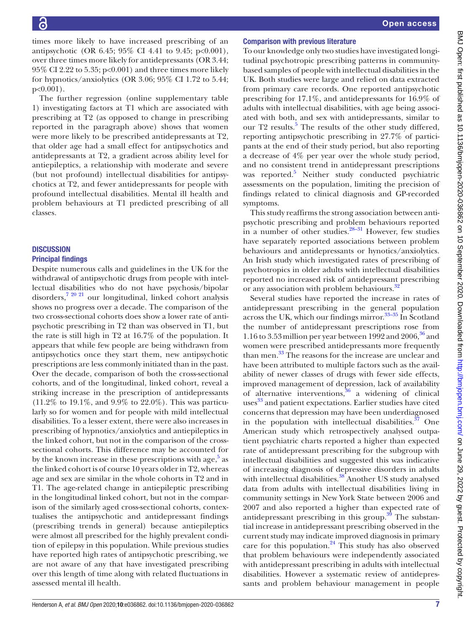times more likely to have increased prescribing of an antipsychotic (OR 6.45; 95% CI 4.41 to 9.45; p<0.001), over three times more likely for antidepressants (OR 3.44; 95% CI 2.22 to 5.35; p<0.001) and three times more likely for hypnotics/anxiolytics (OR 3.06; 95% CI 1.72 to 5.44; p<0.001).

The further regression [\(online supplementary table](https://dx.doi.org/10.1136/bmjopen-2020-036862) [1\)](https://dx.doi.org/10.1136/bmjopen-2020-036862) investigating factors at T1 which are associated with prescribing at T2 (as opposed to change in prescribing reported in the paragraph above) shows that women were more likely to be prescribed antidepressants at T2, that older age had a small effect for antipsychotics and antidepressants at T2, a gradient across ability level for antiepileptics, a relationship with moderate and severe (but not profound) intellectual disabilities for antipsychotics at T2, and fewer antidepressants for people with profound intellectual disabilities. Mental ill health and problem behaviours at T1 predicted prescribing of all classes.

## **DISCUSSION** Principal findings

Despite numerous calls and guidelines in the UK for the withdrawal of antipsychotic drugs from people with intellectual disabilities who do not have psychosis/bipolar disorders[,7 20 21](#page-8-4) our longitudinal, linked cohort analysis shows no progress over a decade. The comparison of the two cross-sectional cohorts does show a lower rate of antipsychotic prescribing in T2 than was observed in T1, but the rate is still high in T2 at 16.7% of the population. It appears that while few people are being withdrawn from antipsychotics once they start them, new antipsychotic prescriptions are less commonly initiated than in the past. Over the decade, comparison of both the cross-sectional cohorts, and of the longitudinal, linked cohort, reveal a striking increase in the prescription of antidepressants (11.2% to 19.1%, and 9.9% to 22.0%). This was particularly so for women and for people with mild intellectual disabilities. To a lesser extent, there were also increases in prescribing of hypnotics/anxiolytics and antiepileptics in the linked cohort, but not in the comparison of the crosssectional cohorts. This difference may be accounted for by the known increase in these prescriptions with age, $5$  as the linked cohort is of course 10 years older in T2, whereas age and sex are similar in the whole cohorts in T2 and in T1. The age-related change in antiepileptic prescribing in the longitudinal linked cohort, but not in the comparison of the similarly aged cross-sectional cohorts, contextualises the antipsychotic and antidepressant findings (prescribing trends in general) because antiepileptics were almost all prescribed for the highly prevalent condition of epilepsy in this population. While previous studies have reported high rates of antipsychotic prescribing, we are not aware of any that have investigated prescribing over this length of time along with related fluctuations in assessed mental ill health.

# Comparison with previous literature

To our knowledge only two studies have investigated longitudinal psychotropic prescribing patterns in communitybased samples of people with intellectual disabilities in the UK. Both studies were large and relied on data extracted from primary care records. One reported antipsychotic prescribing for 17.1%, and antidepressants for 16.9% of adults with intellectual disabilities, with age being associated with both, and sex with antidepressants, similar to our T2 results.<sup>5</sup> The results of the other study differed, reporting antipsychotic prescribing in 27.7% of participants at the end of their study period, but also reporting a decrease of 4% per year over the whole study period, and no consistent trend in antidepressant prescriptions was reported.<sup>[5](#page-8-3)</sup> Neither study conducted psychiatric assessments on the population, limiting the precision of findings related to clinical diagnosis and GP-recorded symptoms.

This study reaffirms the strong association between antipsychotic prescribing and problem behaviours reported in a number of other studies.<sup>28-31</sup> However, few studies have separately reported associations between problem behaviours and antidepressants or hynotics/anxiolytics. An Irish study which investigated rates of prescribing of psychotropics in older adults with intellectual disabilities reported no increased risk of antidepressant prescribing or any association with problem behaviours.<sup>[32](#page-8-16)</sup>

Several studies have reported the increase in rates of antidepressant prescribing in the general population across the UK, which our findings mirror. $33-35$  In Scotland the number of antidepressant prescriptions rose from 1.16 to 3.53 million per year between 1992 and  $2006<sup>36</sup>$  $2006<sup>36</sup>$  $2006<sup>36</sup>$  and women were prescribed antidepressants more frequently than men.<sup>[33](#page-8-17)</sup> The reasons for the increase are unclear and have been attributed to multiple factors such as the availability of newer classes of drugs with fewer side effects, improved management of depression, lack of availability of alternative interventions, $36$  a widening of clinical uses<sup>33</sup> and patient expectations. Earlier studies have cited concerns that depression may have been underdiagnosed in the population with intellectual disabilities.  $37$  One American study which retrospectively analysed outpatient psychiatric charts reported a higher than expected rate of antidepressant prescribing for the subgroup with intellectual disabilities and suggested this was indicative of increasing diagnosis of depressive disorders in adults with intellectual disabilities.<sup>38</sup> Another US study analysed data from adults with intellectual disabilities living in community settings in New York State between 2006 and 2007 and also reported a higher than expected rate of antidepressant prescribing in this group. $39$  The substantial increase in antidepressant prescribing observed in the current study may indicate improved diagnosis in primary care for this population. $^{24}$  $^{24}$  $^{24}$  This study has also observed that problem behaviours were independently associated with antidepressant prescribing in adults with intellectual disabilities. However a systematic review of antidepressants and problem behaviour management in people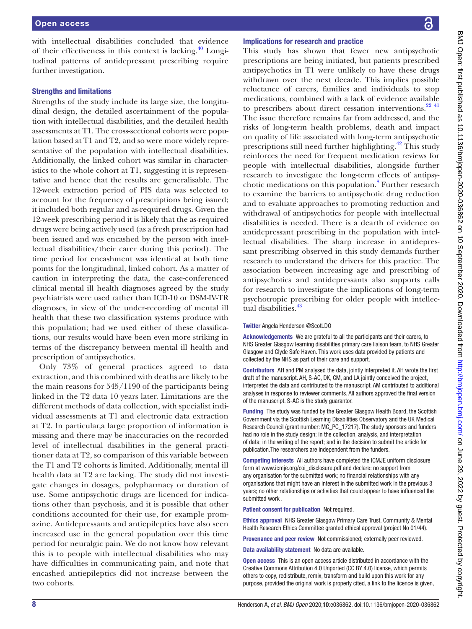with intellectual disabilities concluded that evidence of their effectiveness in this context is lacking[.40](#page-8-22) Longitudinal patterns of antidepressant prescribing require further investigation.

#### Strengths and limitations

Strengths of the study include its large size, the longitudinal design, the detailed ascertainment of the population with intellectual disabilities, and the detailed health assessments at T1. The cross-sectional cohorts were population based at T1 and T2, and so were more widely representative of the population with intellectual disabilities. Additionally, the linked cohort was similar in characteristics to the whole cohort at T1, suggesting it is representative and hence that the results are generalisable. The 12-week extraction period of PIS data was selected to account for the frequency of prescriptions being issued; it included both regular and as-required drugs. Given the 12-week prescribing period it is likely that the as-required drugs were being actively used (as a fresh prescription had been issued and was encashed by the person with intellectual disabilities/their carer during this period). The time period for encashment was identical at both time points for the longitudinal, linked cohort. As a matter of caution in interpreting the data, the case-conferenced clinical mental ill health diagnoses agreed by the study psychiatrists were used rather than ICD-10 or DSM-IV-TR diagnoses, in view of the under-recording of mental ill health that these two classification systems produce with this population; had we used either of these classifications, our results would have been even more striking in terms of the discrepancy between mental ill health and prescription of antipsychotics.

Only 73% of general practices agreed to data extraction, and this combined with deaths are likely to be the main reasons for 545/1190 of the participants being linked in the T2 data 10 years later. Limitations are the different methods of data collection, with specialist individual assessments at T1 and electronic data extraction at T2. In particular,a large proportion of information is missing and there may be inaccuracies on the recorded level of intellectual disabilities in the general practitioner data at T2, so comparison of this variable between the T1 and T2 cohorts is limited. Additionally, mental ill health data at T2 are lacking. The study did not investigate changes in dosages, polypharmacy or duration of use. Some antipsychotic drugs are licenced for indications other than psychosis, and it is possible that other conditions accounted for their use, for example promazine. Antidepressants and antiepileptics have also seen increased use in the general population over this time period for neuralgic pain. We do not know how relevant this is to people with intellectual disabilities who may have difficulties in communicating pain, and note that encashed antiepileptics did not increase between the two cohorts.

#### Implications for research and practice

This study has shown that fewer new antipsychotic prescriptions are being initiated, but patients prescribed antipsychotics in T1 were unlikely to have these drugs withdrawn over the next decade. This implies possible reluctance of carers, families and individuals to stop medications, combined with a lack of evidence available to prescribers about direct cessation interventions. $22\frac{41}{10}$ The issue therefore remains far from addressed, and the risks of long-term health problems, death and impact on quality of life associated with long-term antipsychotic prescriptions still need further highlighting.<sup>42</sup> This study reinforces the need for frequent medication reviews for people with intellectual disabilities, alongside further research to investigate the long-term effects of antipsy-chotic medications on this population.<sup>[8](#page-8-24)</sup> Further research to examine the barriers to antipsychotic drug reduction and to evaluate approaches to promoting reduction and withdrawal of antipsychotics for people with intellectual disabilities is needed. There is a dearth of evidence on antidepressant prescribing in the population with intellectual disabilities. The sharp increase in antidepressant prescribing observed in this study demands further research to understand the drivers for this practice. The association between increasing age and prescribing of antipsychotics and antidepressants also supports calls for research to investigate the implications of long-term psychotropic prescribing for older people with intellec-tual disabilities.<sup>[43](#page-8-25)</sup>

#### Twitter Angela Henderson [@ScotLDO](https://twitter.com/ScotLDO)

Acknowledgements We are grateful to all the participants and their carers, to NHS Greater Glasgow learning disabilities primary care liaison team, to NHS Greater Glasgow and Clyde Safe Haven. This work uses data provided by patients and collected by the NHS as part of their care and support.

Contributors AH and PM analysed the data, jointly interpreted it. AH wrote the first draft of the manuscript. AH, S-AC, DK, CM, and LA jointly conceived the project, interpreted the data and contributed to the manuscript. AM contributed to additional analyses in response to reviewer comments. All authors approved the final version of the manuscript. S-AC is the study guarantor.

Funding The study was funded by the Greater Glasgow Health Board, the Scottish Government via the Scottish Learning Disabilities Observatory and the UK Medical Research Council (grant number: MC\_PC\_17217). The study sponsors and funders had no role in the study design; in the collection, analysis, and interpretation of data; in the writing of the report; and in the decision to submit the article for publication.The researchers are independent from the funders.

Competing interests All authors have completed the ICMJE uniform disclosure form at www.icmje.org/coi\_disclosure.pdf and declare: no support from any organisation for the submitted work; no financial relationships with any organisations that might have an interest in the submitted work in the previous 3 years; no other relationships or activities that could appear to have influenced the submitted work .

#### Patient consent for publication Not required.

Ethics approval NHS Greater Glasgow Primary Care Trust, Community & Mental Health Research Ethics Committee granted ethical approval (project No 01/44).

Provenance and peer review Not commissioned; externally peer reviewed.

Data availability statement No data are available.

Open access This is an open access article distributed in accordance with the Creative Commons Attribution 4.0 Unported (CC BY 4.0) license, which permits others to copy, redistribute, remix, transform and build upon this work for any purpose, provided the original work is properly cited, a link to the licence is given,